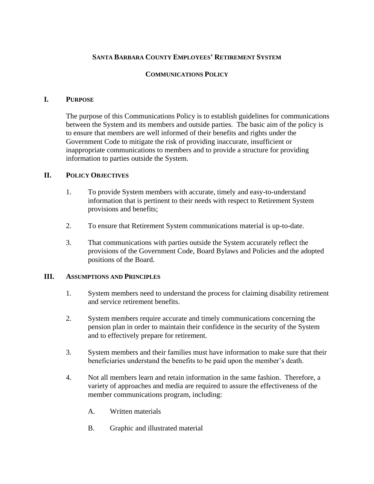# **SANTA BARBARA COUNTY EMPLOYEES' RETIREMENT SYSTEM**

### **COMMUNICATIONS POLICY**

#### **I. PURPOSE**

The purpose of this Communications Policy is to establish guidelines for communications between the System and its members and outside parties. The basic aim of the policy is to ensure that members are well informed of their benefits and rights under the Government Code to mitigate the risk of providing inaccurate, insufficient or inappropriate communications to members and to provide a structure for providing information to parties outside the System.

### **II. POLICY OBJECTIVES**

- 1. To provide System members with accurate, timely and easy-to-understand information that is pertinent to their needs with respect to Retirement System provisions and benefits;
- 2. To ensure that Retirement System communications material is up-to-date.
- 3. That communications with parties outside the System accurately reflect the provisions of the Government Code, Board Bylaws and Policies and the adopted positions of the Board.

#### **III. ASSUMPTIONS AND PRINCIPLES**

- 1. System members need to understand the process for claiming disability retirement and service retirement benefits.
- 2. System members require accurate and timely communications concerning the pension plan in order to maintain their confidence in the security of the System and to effectively prepare for retirement.
- 3. System members and their families must have information to make sure that their beneficiaries understand the benefits to be paid upon the member's death.
- 4. Not all members learn and retain information in the same fashion. Therefore, a variety of approaches and media are required to assure the effectiveness of the member communications program, including:
	- A. Written materials
	- B. Graphic and illustrated material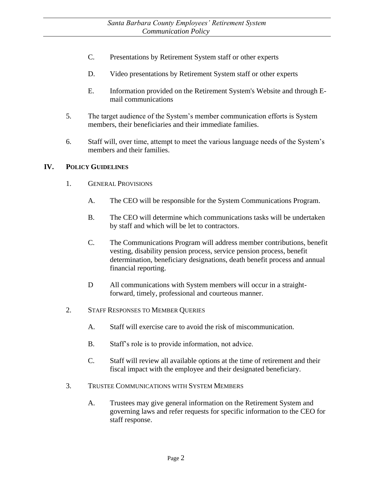- C. Presentations by Retirement System staff or other experts
- D. Video presentations by Retirement System staff or other experts
- E. Information provided on the Retirement System's Website and through Email communications
- 5. The target audience of the System's member communication efforts is System members, their beneficiaries and their immediate families.
- 6. Staff will, over time, attempt to meet the various language needs of the System's members and their families.

### **IV. POLICY GUIDELINES**

- 1. GENERAL PROVISIONS
	- A. The CEO will be responsible for the System Communications Program.
	- B. The CEO will determine which communications tasks will be undertaken by staff and which will be let to contractors.
	- C. The Communications Program will address member contributions, benefit vesting, disability pension process, service pension process, benefit determination, beneficiary designations, death benefit process and annual financial reporting.
	- D All communications with System members will occur in a straightforward, timely, professional and courteous manner.
- 2. STAFF RESPONSES TO MEMBER QUERIES
	- A. Staff will exercise care to avoid the risk of miscommunication.
	- B. Staff's role is to provide information, not advice.
	- C. Staff will review all available options at the time of retirement and their fiscal impact with the employee and their designated beneficiary.
- 3. TRUSTEE COMMUNICATIONS WITH SYSTEM MEMBERS
	- A. Trustees may give general information on the Retirement System and governing laws and refer requests for specific information to the CEO for staff response.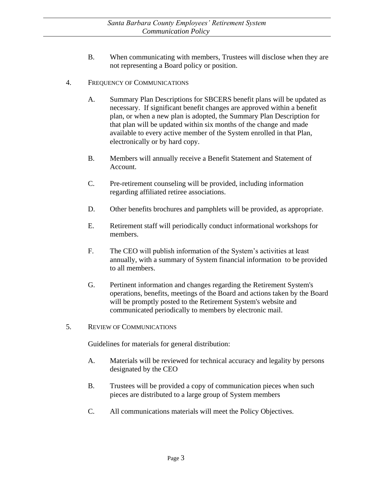- B. When communicating with members, Trustees will disclose when they are not representing a Board policy or position.
- 4. FREQUENCY OF COMMUNICATIONS
	- A. Summary Plan Descriptions for SBCERS benefit plans will be updated as necessary. If significant benefit changes are approved within a benefit plan, or when a new plan is adopted, the Summary Plan Description for that plan will be updated within six months of the change and made available to every active member of the System enrolled in that Plan, electronically or by hard copy.
	- B. Members will annually receive a Benefit Statement and Statement of Account.
	- C. Pre-retirement counseling will be provided, including information regarding affiliated retiree associations.
	- D. Other benefits brochures and pamphlets will be provided, as appropriate.
	- E. Retirement staff will periodically conduct informational workshops for members.
	- F. The CEO will publish information of the System's activities at least annually, with a summary of System financial information to be provided to all members.
	- G. Pertinent information and changes regarding the Retirement System's operations, benefits, meetings of the Board and actions taken by the Board will be promptly posted to the Retirement System's website and communicated periodically to members by electronic mail.
- 5. REVIEW OF COMMUNICATIONS

Guidelines for materials for general distribution:

- A. Materials will be reviewed for technical accuracy and legality by persons designated by the CEO
- B. Trustees will be provided a copy of communication pieces when such pieces are distributed to a large group of System members
- C. All communications materials will meet the Policy Objectives.